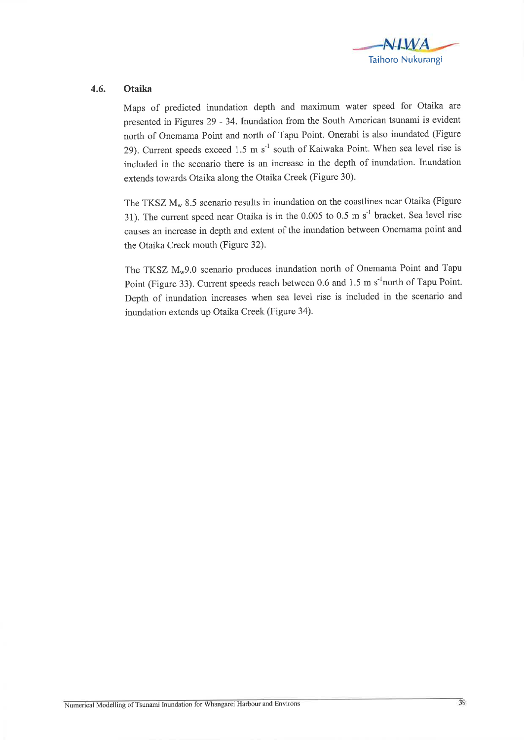

## 4.6. Otaika

Maps of predicted inundation depth and maximum water speed for Otaika are presented in Figures 29 - 34. Inundation from the South American tsunami is evident north of Onemama Point and north of Tapu Point. Onerahi is also inundated (Figure 29). Current speeds exceed 1.5 m  $s^{-1}$  south of Kaiwaka Point. When sea level rise is included in the scenario there is an increase in the depth of inundation. Inundation extends towards Otaika along the Otaika Creek (Figure 30).

The TKSZ  $M_w$  8.5 scenario results in inundation on the coastlines near Otaika (Figure 31). The current speed near Otaika is in the  $0.005$  to 0.5 m s<sup>-1</sup> bracket. Sea level rise causes an increase in depth and extent of the inundation between Onemama point and the Otaika Creek mouth (Figure 32).

The TKSZ  $M_w$ 9.0 scenario produces inundation north of Onemama Point and Tapu Point (Figure 33). Current speeds reach between 0.6 and 1.5 m s<sup>-1</sup>north of Tapu Point. Depth of inundation increases when sea level rise is included in the scenario and inundation extends up Otaika Creek (Figure 34).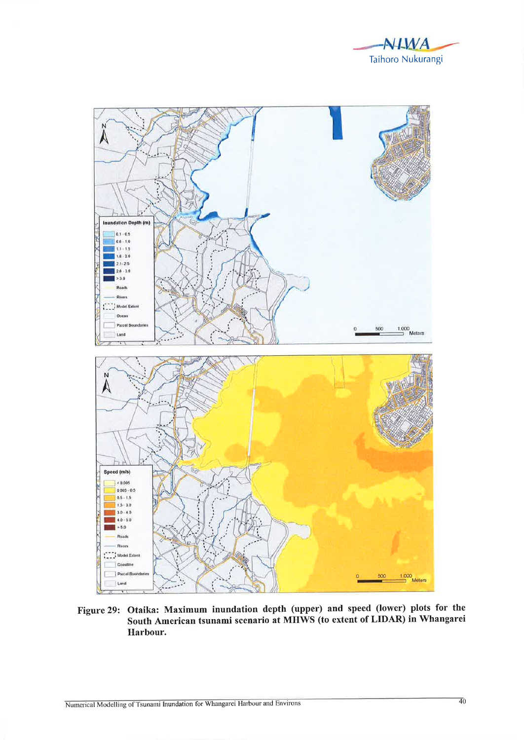



Figure 29: Otaika: Maximum inundation depth (upper) and speed (lower) plots for the South American tsunami scenario at MHWS (to extent of LIDAR) in Whangarei Harbour.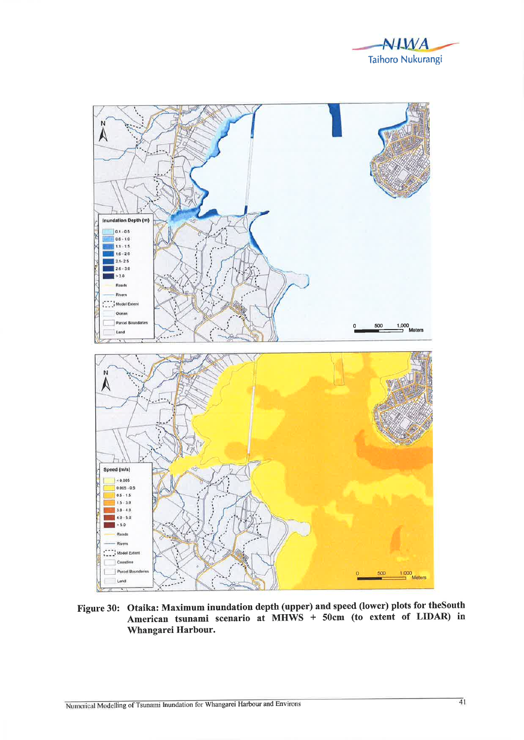



Figure 30: Otaika: Maximum inundation depth (upper) and speed (lower) plots for the South American tsunami scenario at MHWS + 50cm (to extent of LIDAR) in Whangarei Harbour.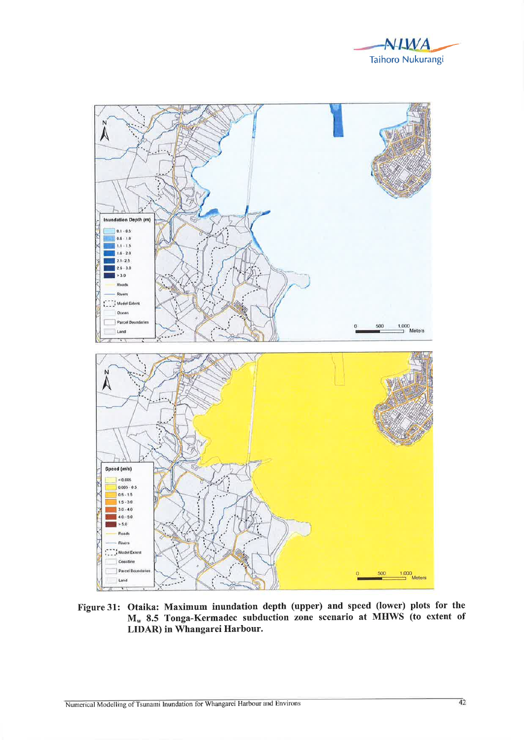



Figure 31: Otaika: Maximum inundation depth (upper) and speed (lower) plots for the M<sub>w</sub> 8.5 Tonga-Kermadec subduction zone scenario at MHWS (to extent of LIDAR) in Whangarei Harbour.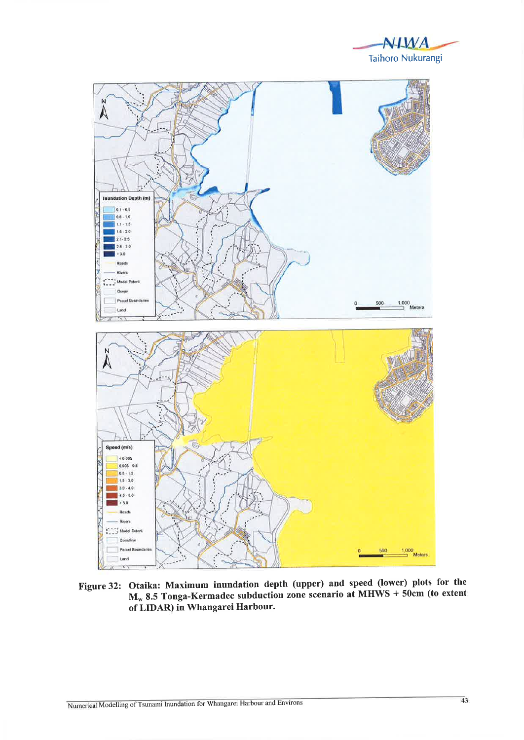



Figure 32: Otaika: Maximum inundation depth (upper) and speed (lower) plots for the  $M_w$  8.5 Tonga-Kermadec subduction zone scenario at MHWS + 50cm (to extent of LIDAR) in Whangarei Harbour.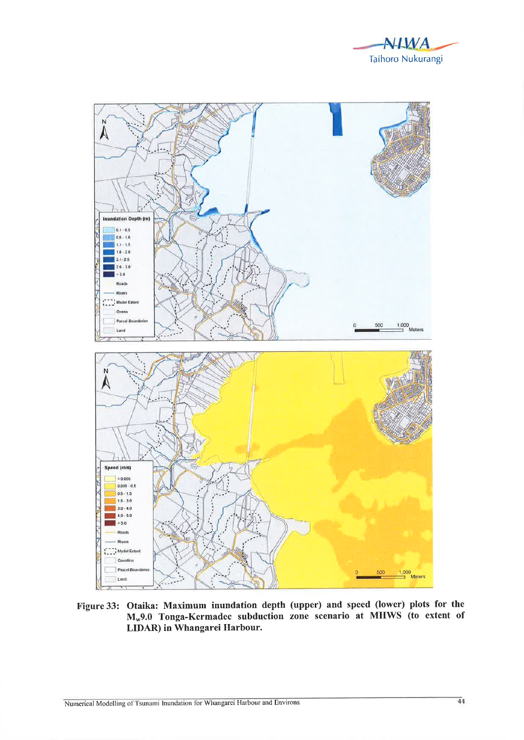



Figure 33: Otaika: Maximum inundation depth (upper) and speed (lower) plots for the M<sub>w</sub>9.0 Tonga-Kermadec subduction zone scenario at MHWS (to extent of LIDAR) in Whangarei Harbour.